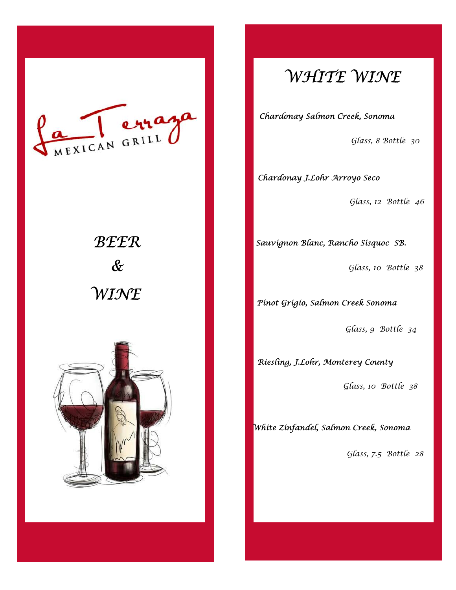

# **WINE**  $\&$ BEER



## WHITE WINE

Chardonay Salmon Creek, Sonoma

Glass, 8 Bottle 30

Chardonay J.Lohr Arroyo Seco

Glass, 12 Bottle 46

Sauvignon Blanc, Rancho Sisquoc SB.

Glass, 10 Bottle 38

Pinot Grigio, Salmon Creek Sonoma

Glass, 9 Bottle 34

Riesling, J.Lohr, Monterey County

Glass, 10 Bottle 38

White Zinfandel, Salmon Creek, Sonoma

Glass, 7.5 Bottle 28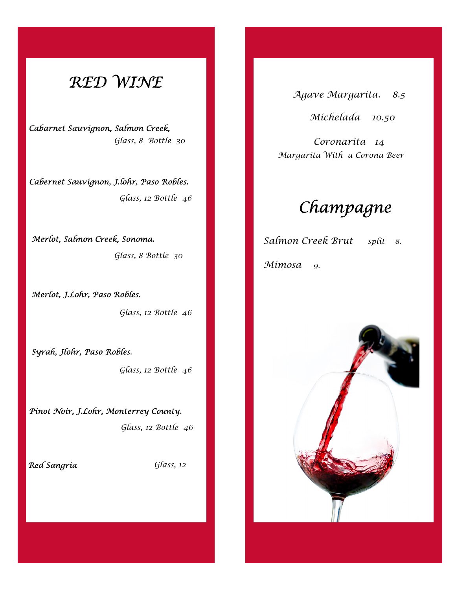### RED WINE

Cabarnet Sauvignon, Salmon Creek, Glass, 8 Bottle 30

Cabernet Sauvignon, J.lohr, Paso Robles. Glass, 12 Bottle 46

Merlot, Salmon Creek, Sonoma. Glass, 8 Bottle 30

Merlot, J.Lohr, Paso Robles. Glass, 12 Bottle 46

Syrah, Jlohr, Paso Robles.

Glass, 12 Bottle 46

Pinot Noir, J.Lohr, Monterrey County. Glass, 12 Bottle 46

Red Sangria

Glass, 12

Agave Margarita. 8.5

Michelada 10.50

Coronarita 14 Margarita With a Corona Beer

## Champagne

Salmon Creek Brut split 8. Mimosa 9.